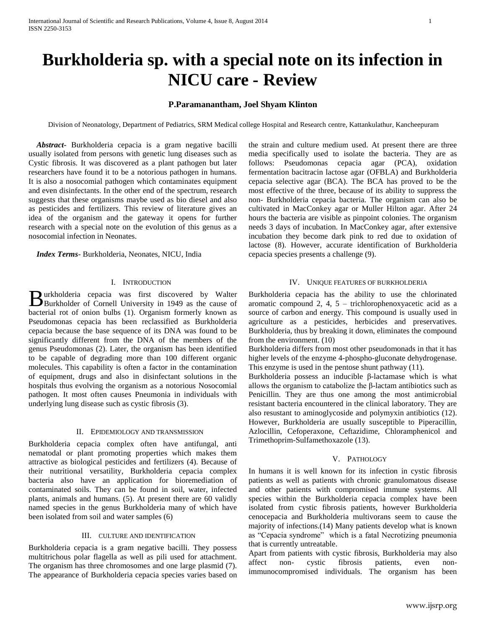# **Burkholderia sp. with a special note on its infection in NICU care - Review**

## **P.Paramanantham, Joel Shyam Klinton**

Division of Neonatology, Department of Pediatrics, SRM Medical college Hospital and Research centre, Kattankulathur, Kancheepuram

 *Abstract***-** Burkholderia cepacia is a gram negative bacilli usually isolated from persons with genetic lung diseases such as Cystic fibrosis. It was discovered as a plant pathogen but later researchers have found it to be a notorious pathogen in humans. It is also a nosocomial pathogen which contaminates equipment and even disinfectants. In the other end of the spectrum, research suggests that these organisms maybe used as bio diesel and also as pesticides and fertilizers. This review of literature gives an idea of the organism and the gateway it opens for further research with a special note on the evolution of this genus as a nosocomial infection in Neonates.

 *Index Terms*- Burkholderia, Neonates, NICU, India

## I. INTRODUCTION

urkholderia cepacia was first discovered by Walter Burkholderia cepacia was first discovered by Walter<br>Burkholder of Cornell University in 1949 as the cause of bacterial rot of onion bulbs (1). Organism formerly known as Pseudomonas cepacia has been reclassified as Burkholderia cepacia because the base sequence of its DNA was found to be significantly different from the DNA of the members of the genus Pseudomonas (2). Later, the organism has been identified to be capable of degrading more than 100 different organic molecules. This capability is often a factor in the contamination of equipment, drugs and also in disinfectant solutions in the hospitals thus evolving the organism as a notorious Nosocomial pathogen. It most often causes Pneumonia in individuals with underlying lung disease such as cystic fibrosis (3).

## II. EPIDEMIOLOGY AND TRANSMISSION

Burkholderia cepacia complex often have antifungal, anti nematodal or plant promoting properties which makes them attractive as biological pesticides and fertilizers (4). Because of their nutritional versatility, Burkholderia cepacia complex bacteria also have an application for bioremediation of contaminated soils. They can be found in soil, water, infected plants, animals and humans. (5). At present there are 60 validly named species in the genus Burkholderia many of which have been isolated from soil and water samples (6)

## III. CULTURE AND IDENTIFICATION

Burkholderia cepacia is a gram negative bacilli. They possess multitrichous polar flagella as well as pili used for attachment. The organism has three chromosomes and one large plasmid (7). The appearance of Burkholderia cepacia species varies based on the strain and culture medium used. At present there are three media specifically used to isolate the bacteria. They are as follows: Pseudomonas cepacia agar (PCA), oxidation fermentation bacitracin lactose agar (OFBLA) and Burkholderia cepacia selective agar (BCA). The BCA has proved to be the most effective of the three, because of its ability to suppress the non- Burkholderia cepacia bacteria. The organism can also be cultivated in MacConkey agar or Muller Hilton agar. After 24 hours the bacteria are visible as pinpoint colonies. The organism needs 3 days of incubation. In MacConkey agar, after extensive incubation they become dark pink to red due to oxidation of lactose (8). However, accurate identification of Burkholderia cepacia species presents a challenge (9).

## IV. UNIQUE FEATURES OF BURKHOLDERIA

Burkholderia cepacia has the ability to use the chlorinated aromatic compound 2, 4, 5 – trichlorophenoxyacetic acid as a source of carbon and energy. This compound is usually used in agriculture as a pesticides, herbicides and preservatives. Burkholderia, thus by breaking it down, eliminates the compound from the environment. (10)

Burkholderia differs from most other pseudomonads in that it has higher levels of the enzyme 4-phospho-gluconate dehydrogenase. This enzyme is used in the pentose shunt pathway (11).

Burkholderia possess an inducible β-lactamase which is what allows the organism to catabolize the β-lactam antibiotics such as Penicillin. They are thus one among the most antimicrobial resistant bacteria encountered in the clinical laboratory. They are also resustant to aminoglycoside and polymyxin antibiotics (12). However, Burkholderia are usually susceptible to Piperacillin, Azlocillin, Cefoperaxone, Ceftazidime, Chloramphenicol and Trimethoprim-Sulfamethoxazole (13).

## V. PATHOLOGY

In humans it is well known for its infection in cystic fibrosis patients as well as patients with chronic granulomatous disease and other patients with compromised immune systems. All species within the Burkholderia cepacia complex have been isolated from cystic fibrosis patients, however Burkholderia cenocepacia and Burkholderia multivorans seem to cause the majority of infections.(14) Many patients develop what is known as "Cepacia syndrome" which is a fatal Necrotizing pneumonia that is currently untreatable.

Apart from patients with cystic fibrosis, Burkholderia may also affect non- cystic fibrosis patients, even nonimmunocompromised individuals. The organism has been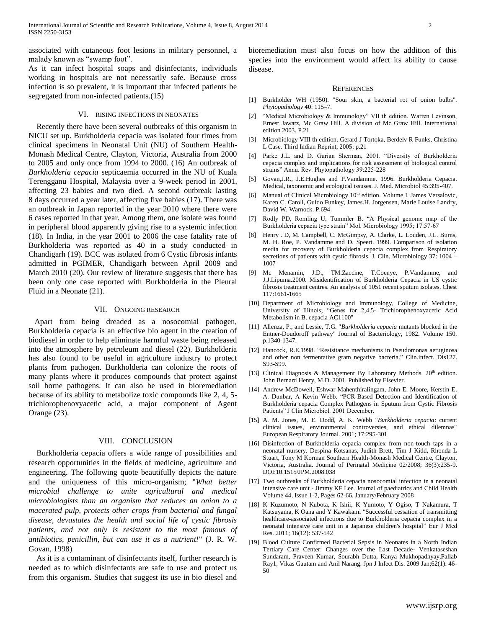associated with cutaneous foot lesions in military personnel, a malady known as "swamp foot".

As it can infect hospital soaps and disinfectants, individuals working in hospitals are not necessarily safe. Because cross infection is so prevalent, it is important that infected patients be segregated from non-infected patients.(15)

#### VI. RISING INFECTIONS IN NEONATES

 Recently there have been several outbreaks of this organism in NICU set up. Burkholderia cepacia was isolated four times from clinical specimens in Neonatal Unit (NU) of Southern Health-Monash Medical Centre, Clayton, Victoria, Australia from 2000 to 2005 and only once from 1994 to 2000. (16) An outbreak of *Burkholderia cepacia* septicaemia occurred in the NU of Kuala Terengganu Hospital, Malaysia over a 9-week period in 2001, affecting 23 babies and two died. A second outbreak lasting 8 days occurred a year later, affecting five babies (17). There was an outbreak in Japan reported in the year 2010 where there were 6 cases reported in that year. Among them, one isolate was found in peripheral blood apparently giving rise to a systemic infection (18). In India, in the year 2001 to 2006 the case fatality rate of Burkholderia was reported as 40 in a study conducted in Chandigarh (19). BCC was isolated from 6 Cystic fibrosis infants admitted in PGIMER, Chandigarh between April 2009 and March 2010 (20). Our review of literature suggests that there has been only one case reported with Burkholderia in the Pleural Fluid in a Neonate (21).

## VII. ONGOING RESEARCH

 Apart from being dreaded as a nosocomial pathogen, Burkholderia cepacia is an effective bio agent in the creation of biodiesel in order to help eliminate harmful waste being released into the atmosphere by petroleum and diesel (22). Burkholderia has also found to be useful in agriculture industry to protect plants from pathogen. Burkholderia can colonize the roots of many plants where it produces compounds that protect against soil borne pathogens. It can also be used in bioremediation because of its ability to metabolize toxic compounds like 2, 4, 5 trichlorophenoxyacetic acid, a major component of Agent Orange (23).

## VIII. CONCLUSION

Burkholderia cepacia offers a wide range of possibilities and research opportunities in the fields of medicine, agriculture and engineering. The following quote beautifully depicts the nature and the uniqueness of this micro-organism; "*What better microbial challenge to unite agricultural and medical microbiologists than an organism that reduces an onion to a macerated pulp, protects other crops from bacterial and fungal disease, devastates the health and social life of cystic fibrosis patients, and not only is resistant to the most famous of antibiotics, penicillin, but can use it as a nutrient!*" (J. R. W. Govan, 1998)

As it is a contaminant of disinfectants itself, further research is needed as to which disinfectants are safe to use and protect us from this organism. Studies that suggest its use in bio diesel and

bioremediation must also focus on how the addition of this species into the environment would affect its ability to cause disease.

#### **REFERENCES**

- [1] Burkholder WH (1950). "Sour skin, a bacterial rot of onion bulbs". *Phytopathology* **40**: 115–7.
- [2] "Medical Microbiology & Immunology" VII th edition. Warren Levinson, Ernest Jawatz, Mc Graw Hill. A division of Mc Graw Hill. International edition 2003. P.21
- [3] Microbiology VIII th edition. Gerard J Tortoka, Berdelv R Funks, Christina L Case. Third Indian Reprint, 2005: p.21
- [4] Parke J.L. and D. Gurian Sherman, 2001. "Diversity of Burkholderia cepacia complex and implications for risk assessment of biological control strains" Annu. Rev. Phytopathology 39:225-228
- [5] Govan,J.R., J.E.Hughes and P.Vandamme. 1996. Burkholderia Cepacia. Medical, taxonomic and ecological issuses. J. Med. Microbiol 45:395-407.
- [6] Manual of Clinical Microbiology 10<sup>th</sup> edition. Volume I. James Versalovic, Karen C. Caroll, Guido Funkey, James.H. Jorgensen, Marie Louise Landry, David W. Warnock. P.694
- [7] Rodly PD, Romling U, Tummler B. "A Physical genome map of the Burkholderia cepacia type strain" Mol. Microbiology 1995; 17:57-67
- [8] Henry . D, M. Campbell, C. McGimpsy, A. Clarke, L. Louden, J.L. Burns, M. H. Roe, P. Vandamme and D. Speert. 1999. Comparison of isolation media for recovery of Burkholderia cepacia complex from Respiratory secretions of patients with cystic fibrosis. J. Clin. Microbiology 37: 1004 – 1007
- [9] Mc Menamin, J.D., TM.Zaccine, T.Coenye, P.Vandamme, and J.J.Lipuma.2000. Misidentification of Burkholderia Cepacia in US cystic fibrosis treatment centres. An analysis of 1051 recent sputum isolates. Chest 117:1661-1665
- [10] Department of Microbiology and Immunology, College of Medicine, University of Illinois; "Genes for 2,4,5- Trichlorophenoxyacetic Acid Metabolism in B. cepacia AC1100"
- [11] Allenza, P., and Lessie, T.G. "*Burkholderia cepacia* mutants blocked in the Entner-Doudoroff pathway" Journal of Bacteriology, 1982. Volume 150. p.1340-1347.
- [12] Hancock, R.E.1998. "Resisitance mechanisms in Pseudomonas aeruginosa and other non fermentative gram negative bacteria." Clin.infect. Dis127. S93-S99.
- [13] Clinical Diagnosis & Management By Laboratory Methods.  $20<sup>th</sup>$  edition. John Bernard Henry, M.D. 2001. Published by Elsevier.
- [14] Andrew McDowell, Eshwar Mahenthiralingam, John E. Moore, Kerstin E. A. Dunbar, A Kevin Webb. "PCR-Based Detection and Identification of Burkholderia cepacia Complex Pathogens in Sputum from Cystic Fibrosis Patients" J Clin Microbiol. 2001 December.
- [15] A. M. Jones, M. E. Dodd, A. K. Webb "*Burkholderia cepacia*: current clinical issues, environmental controversies, and ethical dilemnas" European Respiratory Journal. 2001; 17:295-301
- [16] Disinfection of Burkholderia cepacia complex from non-touch taps in a neonatal nursery. Despina Kotsanas, Judith Brett, Tim J Kidd, Rhonda L Stuart, Tony M Korman Southern Health-Monash Medical Centre, Clayton, Victoria, Australia. Journal of Perinatal Medicine 02/2008; 36(3):235-9. DOI:10.1515/JPM.2008.038
- [17] Two outbreaks of Burkholderia cepacia nosocomial infection in a neonatal intensive care unit - Jimmy KF Lee. Journal of paediatrics and Child Health Volume 44, Issue 1-2, Pages 62-66, January/February 2008
- [18] K Kuzumoto, N Kubota, K Ishii, K Yumoto, Y Ogiso, T Nakamura, T Katsuyama, K Oana and Y Kawakami "Successful cessation of transmitting healthcare-associated infections due to Burkholderia cepacia complex in a neonatal intensive care unit in a Japanese children's hospital" Eur J Med Res. 2011; 16(12): 537-542
- [19] Blood Culture Confirmed Bacterial Sepsis in Neonates in a North Indian Tertiary Care Center: Changes over the Last Decade- Venkataseshan Sundaram, Praveen Kumar, Sourabh Dutta, Kanya Mukhopadhyay,Pallab Ray1, Vikas Gautam and Anil Narang. Jpn J Infect Dis. 2009 Jan;62(1): 46- 50